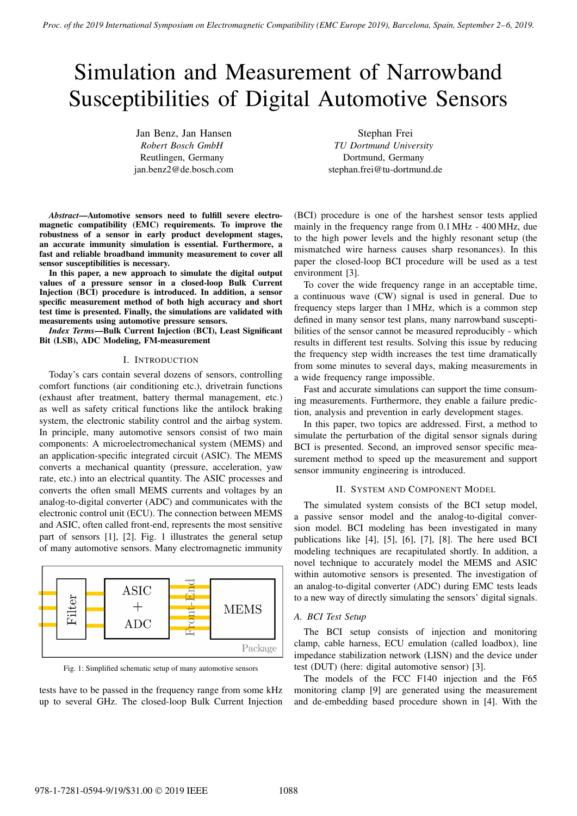# Simulation and Measurement of Narrowband Susceptibilities of Digital Automotive Sensors

Jan Benz, Jan Hansen *Robert Bosch GmbH* Reutlingen, Germany jan.benz2@de.bosch.com

Stephan Frei *TU Dortmund University* Dortmund, Germany stephan.frei@tu-dortmund.de

*Abstract*—Automotive sensors need to fulfill severe electromagnetic compatibility (EMC) requirements. To improve the robustness of a sensor in early product development stages, an accurate immunity simulation is essential. Furthermore, a fast and reliable broadband immunity measurement to cover all sensor susceptibilities is necessary.

In this paper, a new approach to simulate the digital output values of a pressure sensor in a closed-loop Bulk Current Injection (BCI) procedure is introduced. In addition, a sensor specific measurement method of both high accuracy and short test time is presented. Finally, the simulations are validated with measurements using automotive pressure sensors.

*Index Terms*—Bulk Current Injection (BCI), Least Significant Bit (LSB), ADC Modeling, FM-measurement

#### I. INTRODUCTION

Today's cars contain several dozens of sensors, controlling comfort functions (air conditioning etc.), drivetrain functions (exhaust after treatment, battery thermal management, etc.) as well as safety critical functions like the antilock braking system, the electronic stability control and the airbag system. In principle, many automotive sensors consist of two main components: A microelectromechanical system (MEMS) and an application-specific integrated circuit (ASIC). The MEMS converts a mechanical quantity (pressure, acceleration, yaw rate, etc.) into an electrical quantity. The ASIC processes and converts the often small MEMS currents and voltages by an analog-to-digital converter (ADC) and communicates with the electronic control unit (ECU). The connection between MEMS and ASIC, often called front-end, represents the most sensitive part of sensors [1], [2]. Fig. 1 illustrates the general setup of many automotive sensors. Many electromagnetic immunity



Fig. 1: Simplified schematic setup of many automotive sensors

tests have to be passed in the frequency range from some kHz up to several GHz. The closed-loop Bulk Current Injection

(BCI) procedure is one of the harshest sensor tests applied mainly in the frequency range from 0.1 MHz - 400 MHz, due to the high power levels and the highly resonant setup (the mismatched wire harness causes sharp resonances). In this paper the closed-loop BCI procedure will be used as a test environment [3].

To cover the wide frequency range in an acceptable time, a continuous wave (CW) signal is used in general. Due to frequency steps larger than 1 MHz, which is a common step defined in many sensor test plans, many narrowband susceptibilities of the sensor cannot be measured reproducibly - which results in different test results. Solving this issue by reducing the frequency step width increases the test time dramatically from some minutes to several days, making measurements in a wide frequency range impossible.

Fast and accurate simulations can support the time consuming measurements. Furthermore, they enable a failure prediction, analysis and prevention in early development stages.

In this paper, two topics are addressed. First, a method to simulate the perturbation of the digital sensor signals during BCI is presented. Second, an improved sensor specific measurement method to speed up the measurement and support sensor immunity engineering is introduced.

## II. SYSTEM AND COMPONENT MODEL

The simulated system consists of the BCI setup model, a passive sensor model and the analog-to-digital conversion model. BCI modeling has been investigated in many publications like [4], [5], [6], [7], [8]. The here used BCI modeling techniques are recapitulated shortly. In addition, a novel technique to accurately model the MEMS and ASIC within automotive sensors is presented. The investigation of an analog-to-digital converter (ADC) during EMC tests leads to a new way of directly simulating the sensors' digital signals.

#### *A. BCI Test Setup*

The BCI setup consists of injection and monitoring clamp, cable harness, ECU emulation (called loadbox), line impedance stabilization network (LISN) and the device under test (DUT) (here: digital automotive sensor) [3].

The models of the FCC F140 injection and the F65 monitoring clamp [9] are generated using the measurement and de-embedding based procedure shown in [4]. With the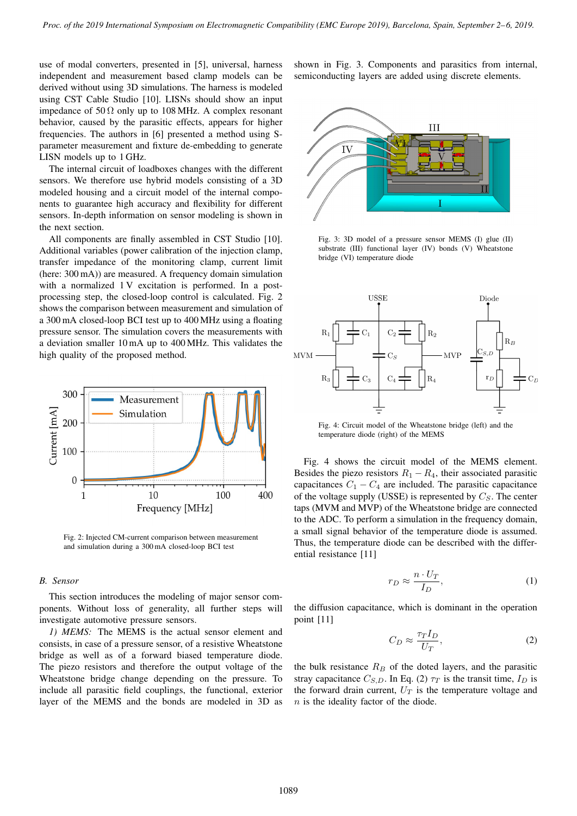use of modal converters, presented in [5], universal, harness independent and measurement based clamp models can be derived without using 3D simulations. The harness is modeled using CST Cable Studio [10]. LISNs should show an input impedance of  $50 \Omega$  only up to 108 MHz. A complex resonant behavior, caused by the parasitic effects, appears for higher frequencies. The authors in [6] presented a method using Sparameter measurement and fixture de-embedding to generate LISN models up to 1 GHz.

The internal circuit of loadboxes changes with the different sensors. We therefore use hybrid models consisting of a 3D modeled housing and a circuit model of the internal components to guarantee high accuracy and flexibility for different sensors. In-depth information on sensor modeling is shown in the next section.

All components are finally assembled in CST Studio [10]. Additional variables (power calibration of the injection clamp, transfer impedance of the monitoring clamp, current limit (here: 300 mA)) are measured. A frequency domain simulation with a normalized 1 V excitation is performed. In a postprocessing step, the closed-loop control is calculated. Fig. 2 shows the comparison between measurement and simulation of a 300 mA closed-loop BCI test up to 400 MHz using a floating pressure sensor. The simulation covers the measurements with a deviation smaller 10 mA up to 400 MHz. This validates the high quality of the proposed method.



Fig. 2: Injected CM-current comparison between measurement and simulation during a 300 mA closed-loop BCI test

### *B. Sensor*

This section introduces the modeling of major sensor components. Without loss of generality, all further steps will investigate automotive pressure sensors.

*1) MEMS:* The MEMS is the actual sensor element and consists, in case of a pressure sensor, of a resistive Wheatstone bridge as well as of a forward biased temperature diode. The piezo resistors and therefore the output voltage of the Wheatstone bridge change depending on the pressure. To include all parasitic field couplings, the functional, exterior layer of the MEMS and the bonds are modeled in 3D as

shown in Fig. 3. Components and parasitics from internal, semiconducting layers are added using discrete elements.



Fig. 3: 3D model of a pressure sensor MEMS (I) glue (II) substrate (III) functional layer (IV) bonds (V) Wheatstone bridge (VI) temperature diode



Fig. 4: Circuit model of the Wheatstone bridge (left) and the temperature diode (right) of the MEMS

Fig. 4 shows the circuit model of the MEMS element. Besides the piezo resistors  $R_1 - R_4$ , their associated parasitic capacitances  $C_1 - C_4$  are included. The parasitic capacitance of the voltage supply (USSE) is represented by  $C_s$ . The center taps (MVM and MVP) of the Wheatstone bridge are connected to the ADC. To perform a simulation in the frequency domain, a small signal behavior of the temperature diode is assumed. Thus, the temperature diode can be described with the differential resistance [11]

$$
r_D \approx \frac{n \cdot U_T}{I_D},\tag{1}
$$

the diffusion capacitance, which is dominant in the operation point [11]

$$
C_D \approx \frac{\tau_T I_D}{U_T},\tag{2}
$$

the bulk resistance  $R_B$  of the doted layers, and the parasitic stray capacitance  $C_{S,D}$ . In Eq. (2)  $\tau_T$  is the transit time,  $I_D$  is the forward drain current,  $U_T$  is the temperature voltage and  $n$  is the ideality factor of the diode.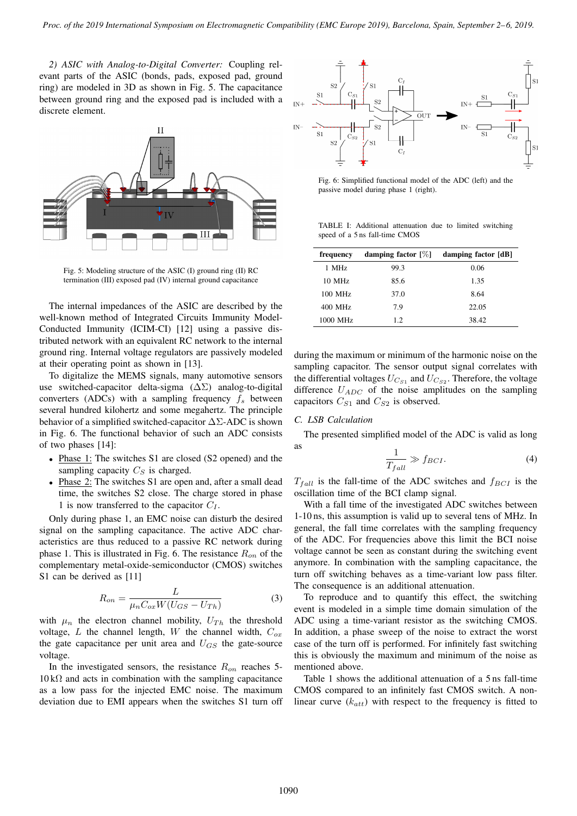*2) ASIC with Analog-to-Digital Converter:* Coupling relevant parts of the ASIC (bonds, pads, exposed pad, ground ring) are modeled in 3D as shown in Fig. 5. The capacitance between ground ring and the exposed pad is included with a discrete element.



Fig. 5: Modeling structure of the ASIC (I) ground ring (II) RC termination (III) exposed pad (IV) internal ground capacitance

The internal impedances of the ASIC are described by the well-known method of Integrated Circuits Immunity Model-Conducted Immunity (ICIM-CI) [12] using a passive distributed network with an equivalent RC network to the internal ground ring. Internal voltage regulators are passively modeled at their operating point as shown in [13].

To digitalize the MEMS signals, many automotive sensors use switched-capacitor delta-sigma  $(\Delta \Sigma)$  analog-to-digital converters (ADCs) with a sampling frequency  $f_s$  between several hundred kilohertz and some megahertz. The principle behavior of a simplified switched-capacitor  $\Delta\Sigma$ -ADC is shown in Fig. 6. The functional behavior of such an ADC consists of two phases [14]:

- Phase 1: The switches S1 are closed (S2 opened) and the sampling capacity  $C_S$  is charged.
- Phase 2: The switches S1 are open and, after a small dead time, the switches S2 close. The charge stored in phase 1 is now transferred to the capacitor  $C_I$ .

Only during phase 1, an EMC noise can disturb the desired signal on the sampling capacitance. The active ADC characteristics are thus reduced to a passive RC network during phase 1. This is illustrated in Fig. 6. The resistance  $R_{on}$  of the complementary metal-oxide-semiconductor (CMOS) switches S1 can be derived as [11]

$$
R_{on} = \frac{L}{\mu_n C_{ox} W (U_{GS} - U_{Th})}
$$
\n(3)

with  $\mu_n$  the electron channel mobility,  $U_{Th}$  the threshold voltage, L the channel length, W the channel width,  $C_{ox}$ the gate capacitance per unit area and  $U_{GS}$  the gate-source voltage.

In the investigated sensors, the resistance  $R_{on}$  reaches 5- $10 k\Omega$  and acts in combination with the sampling capacitance as a low pass for the injected EMC noise. The maximum deviation due to EMI appears when the switches S1 turn off



Fig. 6: Simplified functional model of the ADC (left) and the passive model during phase 1 (right).

TABLE I: Additional attenuation due to limited switching speed of a 5 ns fall-time CMOS

| frequency | damping factor $[\%]$ | damping factor [dB] |
|-----------|-----------------------|---------------------|
| 1 MHz     | 99.3                  | 0.06                |
| $10$ MHz  | 85.6                  | 1.35                |
| 100 MHz   | 37.0                  | 8.64                |
| 400 MHz   | 7.9                   | 22.05               |
| 1000 MHz  | 12.                   | 38.42               |

during the maximum or minimum of the harmonic noise on the sampling capacitor. The sensor output signal correlates with the differential voltages  $U_{Cs_1}$  and  $U_{Cs_2}$ . Therefore, the voltage difference  $U_{ADC}$  of the noise amplitudes on the sampling capacitors  $C_{S1}$  and  $C_{S2}$  is observed.

## *C. LSB Calculation*

The presented simplified model of the ADC is valid as long  $\frac{1}{2}$ 

$$
\frac{1}{T_{fall}} \gg f_{BCI}.\tag{4}
$$

 $T_{fall}$  is the fall-time of the ADC switches and  $f_{BCI}$  is the oscillation time of the BCI clamp signal.

With a fall time of the investigated ADC switches between 1-10 ns, this assumption is valid up to several tens of MHz. In general, the fall time correlates with the sampling frequency of the ADC. For frequencies above this limit the BCI noise voltage cannot be seen as constant during the switching event anymore. In combination with the sampling capacitance, the turn off switching behaves as a time-variant low pass filter. The consequence is an additional attenuation.

To reproduce and to quantify this effect, the switching event is modeled in a simple time domain simulation of the ADC using a time-variant resistor as the switching CMOS. In addition, a phase sweep of the noise to extract the worst case of the turn off is performed. For infinitely fast switching this is obviously the maximum and minimum of the noise as mentioned above.

Table 1 shows the additional attenuation of a 5 ns fall-time CMOS compared to an infinitely fast CMOS switch. A nonlinear curve  $(k_{att})$  with respect to the frequency is fitted to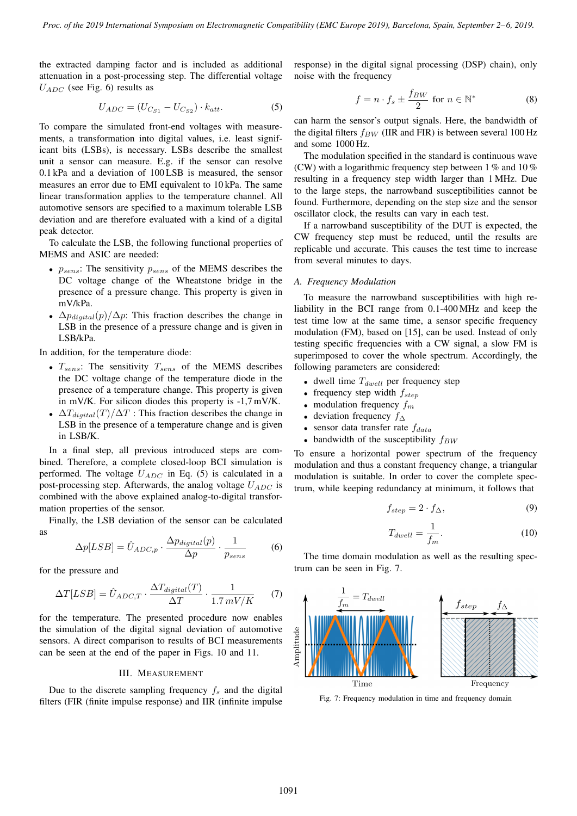the extracted damping factor and is included as additional attenuation in a post-processing step. The differential voltage  $U_{ADC}$  (see Fig. 6) results as

$$
U_{ADC} = (U_{Cs_1} - U_{Cs_2}) \cdot k_{att}.
$$
 (5)

To compare the simulated front-end voltages with measurements, a transformation into digital values, i.e. least significant bits (LSBs), is necessary. LSBs describe the smallest unit a sensor can measure. E.g. if the sensor can resolve 0.1 kPa and a deviation of 100 LSB is measured, the sensor measures an error due to EMI equivalent to 10 kPa. The same linear transformation applies to the temperature channel. All automotive sensors are specified to a maximum tolerable LSB deviation and are therefore evaluated with a kind of a digital peak detector.

To calculate the LSB, the following functional properties of MEMS and ASIC are needed:

- $p_{sens}$ : The sensitivity  $p_{sens}$  of the MEMS describes the DC voltage change of the Wheatstone bridge in the presence of a pressure change. This property is given in mV/kPa.
- $\Delta p_{digital}(p)/\Delta p$ : This fraction describes the change in LSB in the presence of a pressure change and is given in LSB/kPa.

In addition, for the temperature diode:

- $T_{sens}$ : The sensitivity  $T_{sens}$  of the MEMS describes the DC voltage change of the temperature diode in the presence of a temperature change. This property is given in mV/K. For silicon diodes this property is -1,7 mV/K.
- $\Delta T_{digital}(T)/\Delta T$ : This fraction describes the change in LSB in the presence of a temperature change and is given in LSB/K.

In a final step, all previous introduced steps are combined. Therefore, a complete closed-loop BCI simulation is performed. The voltage  $U_{ADC}$  in Eq. (5) is calculated in a post-processing step. Afterwards, the analog voltage  $U_{ADC}$  is combined with the above explained analog-to-digital transformation properties of the sensor.

Finally, the LSB deviation of the sensor can be calculated as

$$
\Delta p[LSB] = \hat{U}_{ADC,p} \cdot \frac{\Delta p_{digital}(p)}{\Delta p} \cdot \frac{1}{p_{sens}} \tag{6}
$$

for the pressure and

$$
\Delta T[LSB] = \hat{U}_{ADC,T} \cdot \frac{\Delta T_{digital}(T)}{\Delta T} \cdot \frac{1}{1.7 \, mV/K} \tag{7}
$$

for the temperature. The presented procedure now enables the simulation of the digital signal deviation of automotive sensors. A direct comparison to results of BCI measurements can be seen at the end of the paper in Figs. 10 and 11.

#### III. MEASUREMENT

Due to the discrete sampling frequency  $f_s$  and the digital filters (FIR (finite impulse response) and IIR (infinite impulse response) in the digital signal processing (DSP) chain), only noise with the frequency

$$
f = n \cdot f_s \pm \frac{f_{BW}}{2} \text{ for } n \in \mathbb{N}^* \tag{8}
$$

can harm the sensor's output signals. Here, the bandwidth of the digital filters  $f_{BW}$  (IIR and FIR) is between several 100 Hz and some 1000 Hz.

The modulation specified in the standard is continuous wave (CW) with a logarithmic frequency step between  $1\%$  and  $10\%$ resulting in a frequency step width larger than 1 MHz. Due to the large steps, the narrowband susceptibilities cannot be found. Furthermore, depending on the step size and the sensor oscillator clock, the results can vary in each test.

If a narrowband susceptibility of the DUT is expected, the CW frequency step must be reduced, until the results are replicable und accurate. This causes the test time to increase from several minutes to days.

#### *A. Frequency Modulation*

To measure the narrowband susceptibilities with high reliability in the BCI range from 0.1-400 MHz and keep the test time low at the same time, a sensor specific frequency modulation (FM), based on [15], can be used. Instead of only testing specific frequencies with a CW signal, a slow FM is superimposed to cover the whole spectrum. Accordingly, the following parameters are considered:

- dwell time  $T_{dwell}$  per frequency step
- frequency step width  $f_{step}$
- modulation frequency  $f_m$
- deviation frequency  $f_{\Delta}$
- sensor data transfer rate  $f_{data}$
- bandwidth of the susceptibility  $f_{BW}$

To ensure a horizontal power spectrum of the frequency modulation and thus a constant frequency change, a triangular modulation is suitable. In order to cover the complete spectrum, while keeping redundancy at minimum, it follows that

$$
f_{step} = 2 \cdot f_{\Delta},\tag{9}
$$

$$
T_{dwell} = \frac{1}{f_m}.\tag{10}
$$

The time domain modulation as well as the resulting spectrum can be seen in Fig. 7.



Fig. 7: Frequency modulation in time and frequency domain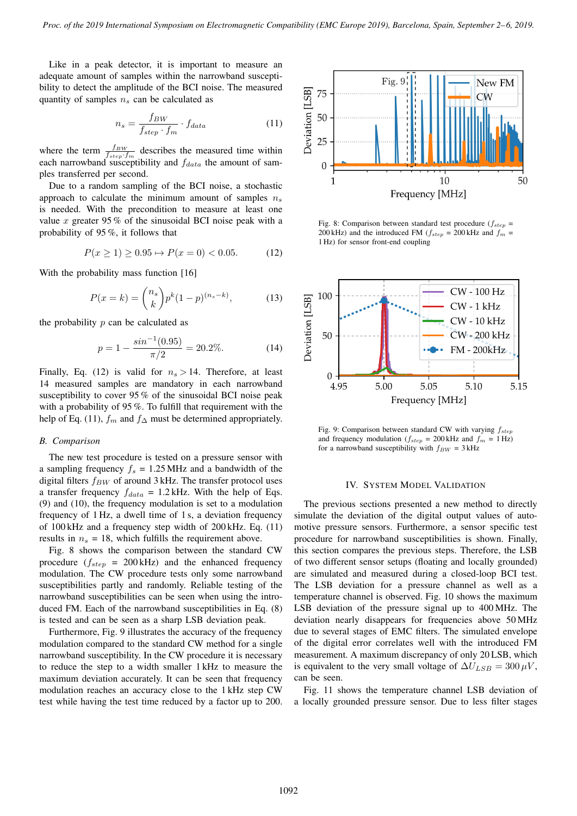Like in a peak detector, it is important to measure an adequate amount of samples within the narrowband susceptibility to detect the amplitude of the BCI noise. The measured quantity of samples  $n<sub>s</sub>$  can be calculated as

$$
n_s = \frac{f_{BW}}{f_{step} \cdot f_m} \cdot f_{data} \tag{11}
$$

where the term  $\frac{f_{BW}}{f_{step} \cdot f_m}$  describes the measured time within each narrowband susceptibility and  $f_{data}$  the amount of samples transferred per second.

Due to a random sampling of the BCI noise, a stochastic approach to calculate the minimum amount of samples  $n<sub>s</sub>$ is needed. With the precondition to measure at least one value x greater 95 % of the sinusoidal BCI noise peak with a probability of 95 %, it follows that

$$
P(x \ge 1) \ge 0.95 \mapsto P(x = 0) < 0.05. \tag{12}
$$

With the probability mass function [16]

$$
P(x = k) = \binom{n_s}{k} p^k (1 - p)^{(n_s - k)},\tag{13}
$$

the probability  $p$  can be calculated as

$$
p = 1 - \frac{\sin^{-1}(0.95)}{\pi/2} = 20.2\%.
$$
 (14)

Finally, Eq. (12) is valid for  $n_s > 14$ . Therefore, at least 14 measured samples are mandatory in each narrowband susceptibility to cover 95 % of the sinusoidal BCI noise peak with a probability of 95 %. To fulfill that requirement with the help of Eq. (11),  $f_m$  and  $f_\Delta$  must be determined appropriately.

## *B. Comparison*

The new test procedure is tested on a pressure sensor with a sampling frequency  $f_s = 1.25 \text{ MHz}$  and a bandwidth of the digital filters  $f_{BW}$  of around 3 kHz. The transfer protocol uses a transfer frequency  $f_{data} = 1.2$  kHz. With the help of Eqs. (9) and (10), the frequency modulation is set to a modulation frequency of 1 Hz, a dwell time of 1 s, a deviation frequency of 100 kHz and a frequency step width of 200 kHz. Eq. (11) results in  $n<sub>s</sub> = 18$ , which fulfills the requirement above.

Fig. 8 shows the comparison between the standard CW procedure  $(f_{step} = 200 \text{ kHz})$  and the enhanced frequency modulation. The CW procedure tests only some narrowband susceptibilities partly and randomly. Reliable testing of the narrowband susceptibilities can be seen when using the introduced FM. Each of the narrowband susceptibilities in Eq. (8) is tested and can be seen as a sharp LSB deviation peak.

Furthermore, Fig. 9 illustrates the accuracy of the frequency modulation compared to the standard CW method for a single narrowband susceptibility. In the CW procedure it is necessary to reduce the step to a width smaller 1 kHz to measure the maximum deviation accurately. It can be seen that frequency modulation reaches an accuracy close to the 1 kHz step CW test while having the test time reduced by a factor up to 200.



Fig. 8: Comparison between standard test procedure ( $f_{step}$  = 200 kHz) and the introduced FM ( $f_{step} = 200$  kHz and  $f_m =$ 1 Hz) for sensor front-end coupling



Fig. 9: Comparison between standard CW with varying  $f_{step}$ and frequency modulation ( $f_{step} = 200$  kHz and  $f_m = 1$  Hz) for a narrowband susceptibility with  $f_{BW} = 3$  kHz

#### IV. SYSTEM MODEL VALIDATION

The previous sections presented a new method to directly simulate the deviation of the digital output values of automotive pressure sensors. Furthermore, a sensor specific test procedure for narrowband susceptibilities is shown. Finally, this section compares the previous steps. Therefore, the LSB of two different sensor setups (floating and locally grounded) are simulated and measured during a closed-loop BCI test. The LSB deviation for a pressure channel as well as a temperature channel is observed. Fig. 10 shows the maximum LSB deviation of the pressure signal up to 400 MHz. The deviation nearly disappears for frequencies above 50 MHz due to several stages of EMC filters. The simulated envelope of the digital error correlates well with the introduced FM measurement. A maximum discrepancy of only 20 LSB, which is equivalent to the very small voltage of  $\Delta U_{LSB} = 300 \,\mu$ V, can be seen.

Fig. 11 shows the temperature channel LSB deviation of a locally grounded pressure sensor. Due to less filter stages